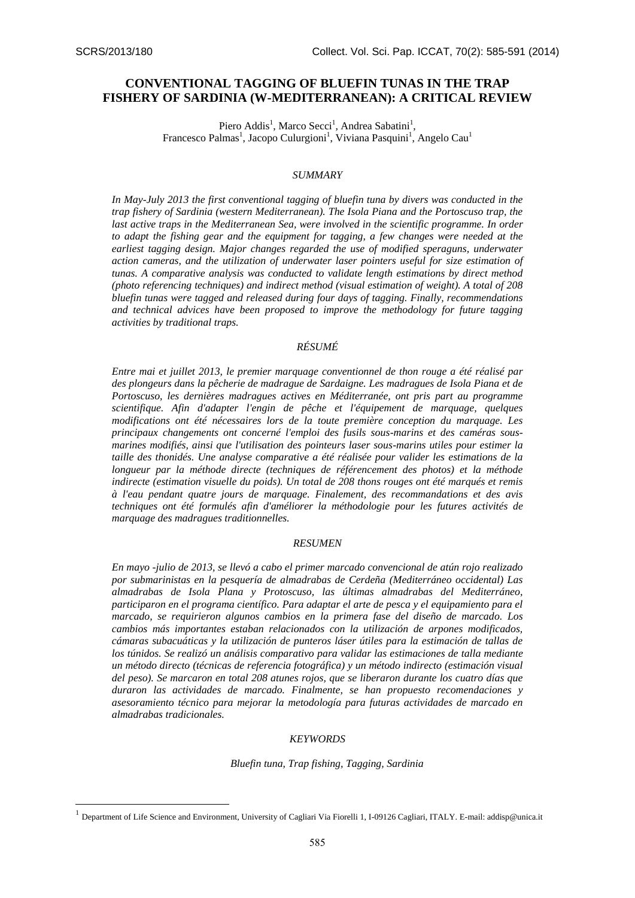1

# **CONVENTIONAL TAGGING OF BLUEFIN TUNAS IN THE TRAP FISHERY OF SARDINIA (W-MEDITERRANEAN): A CRITICAL REVIEW**

Piero Addis<sup>1</sup>, Marco Secci<sup>1</sup>, Andrea Sabatini<sup>1</sup>, Francesco Palmas<sup>1</sup>, Jacopo Culurgioni<sup>1</sup>, Viviana Pasquini<sup>1</sup>, Angelo Cau<sup>1</sup>

# *SUMMARY*

*In May-July 2013 the first conventional tagging of bluefin tuna by divers was conducted in the trap fishery of Sardinia (western Mediterranean). The Isola Piana and the Portoscuso trap, the*  last active traps in the Mediterranean Sea, were involved in the scientific programme. In order *to adapt the fishing gear and the equipment for tagging, a few changes were needed at the earliest tagging design. Major changes regarded the use of modified speraguns, underwater action cameras, and the utilization of underwater laser pointers useful for size estimation of tunas. A comparative analysis was conducted to validate length estimations by direct method (photo referencing techniques) and indirect method (visual estimation of weight). A total of 208 bluefin tunas were tagged and released during four days of tagging. Finally, recommendations and technical advices have been proposed to improve the methodology for future tagging activities by traditional traps.* 

# *RÉSUMÉ*

*Entre mai et juillet 2013, le premier marquage conventionnel de thon rouge a été réalisé par des plongeurs dans la pêcherie de madrague de Sardaigne. Les madragues de Isola Piana et de Portoscuso, les dernières madragues actives en Méditerranée, ont pris part au programme scientifique. Afin d'adapter l'engin de pêche et l'équipement de marquage, quelques modifications ont été nécessaires lors de la toute première conception du marquage. Les principaux changements ont concerné l'emploi des fusils sous-marins et des caméras sousmarines modifiés, ainsi que l'utilisation des pointeurs laser sous-marins utiles pour estimer la taille des thonidés. Une analyse comparative a été réalisée pour valider les estimations de la longueur par la méthode directe (techniques de référencement des photos) et la méthode indirecte (estimation visuelle du poids). Un total de 208 thons rouges ont été marqués et remis à l'eau pendant quatre jours de marquage. Finalement, des recommandations et des avis techniques ont été formulés afin d'améliorer la méthodologie pour les futures activités de marquage des madragues traditionnelles.* 

# *RESUMEN*

*En mayo -julio de 2013, se llevó a cabo el primer marcado convencional de atún rojo realizado por submarinistas en la pesquería de almadrabas de Cerdeña (Mediterráneo occidental) Las almadrabas de Isola Plana y Protoscuso, las últimas almadrabas del Mediterráneo, participaron en el programa científico. Para adaptar el arte de pesca y el equipamiento para el marcado, se requirieron algunos cambios en la primera fase del diseño de marcado. Los cambios más importantes estaban relacionados con la utilización de arpones modificados, cámaras subacuáticas y la utilización de punteros láser útiles para la estimación de tallas de los túnidos. Se realizó un análisis comparativo para validar las estimaciones de talla mediante un método directo (técnicas de referencia fotográfica) y un método indirecto (estimación visual del peso). Se marcaron en total 208 atunes rojos, que se liberaron durante los cuatro días que duraron las actividades de marcado. Finalmente, se han propuesto recomendaciones y asesoramiento técnico para mejorar la metodología para futuras actividades de marcado en almadrabas tradicionales.* 

#### *KEYWORDS*

*Bluefin tuna, Trap fishing, Tagging, Sardinia* 

<sup>1</sup> Department of Life Science and Environment, University of Cagliari Via Fiorelli 1, I-09126 Cagliari, ITALY. E-mail[: addisp@unica.it](mailto:addisp@unica.it)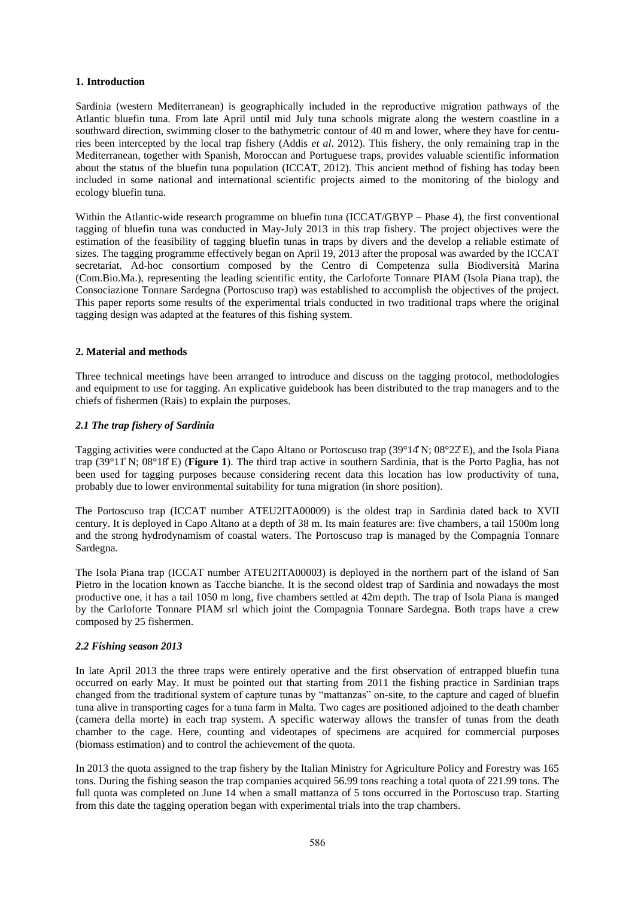## **1. Introduction**

Sardinia (western Mediterranean) is geographically included in the reproductive migration pathways of the Atlantic bluefin tuna. From late April until mid July tuna schools migrate along the western coastline in a southward direction, swimming closer to the bathymetric contour of 40 m and lower, where they have for centuries been intercepted by the local trap fishery (Addis *et al*. 2012). This fishery, the only remaining trap in the Mediterranean, together with Spanish, Moroccan and Portuguese traps, provides valuable scientific information about the status of the bluefin tuna population (ICCAT, 2012). This ancient method of fishing has today been included in some national and international scientific projects aimed to the monitoring of the biology and ecology bluefin tuna.

Within the Atlantic-wide research programme on bluefin tuna (ICCAT/GBYP – Phase 4), the first conventional tagging of bluefin tuna was conducted in May-July 2013 in this trap fishery. The project objectives were the estimation of the feasibility of tagging bluefin tunas in traps by divers and the develop a reliable estimate of sizes. The tagging programme effectively began on April 19, 2013 after the proposal was awarded by the ICCAT secretariat. Ad-hoc consortium composed by the Centro di Competenza sulla Biodiversità Marina (Com.Bio.Ma.), representing the leading scientific entity, the Carloforte Tonnare PIAM (Isola Piana trap), the Consociazione Tonnare Sardegna (Portoscuso trap) was established to accomplish the objectives of the project. This paper reports some results of the experimental trials conducted in two traditional traps where the original tagging design was adapted at the features of this fishing system.

# **2. Material and methods**

Three technical meetings have been arranged to introduce and discuss on the tagging protocol, methodologies and equipment to use for tagging. An explicative guidebook has been distributed to the trap managers and to the chiefs of fishermen (Rais) to explain the purposes.

#### *2.1 The trap fishery of Sardinia*

Tagging activities were conducted at the Capo Altano or Portoscuso trap (39°14 N; 08°22 E), and the Isola Piana trap (39°11 N; 08°18 E) (**Figure 1**). The third trap active in southern Sardinia, that is the Porto Paglia, has not been used for tagging purposes because considering recent data this location has low productivity of tuna, probably due to lower environmental suitability for tuna migration (in shore position).

The Portoscuso trap (ICCAT number ATEU2ITA00009) is the oldest trap in Sardinia dated back to XVII century. It is deployed in Capo Altano at a depth of 38 m. Its main features are: five chambers, a tail 1500m long and the strong hydrodynamism of coastal waters. The Portoscuso trap is managed by the Compagnia Tonnare Sardegna.

The Isola Piana trap (ICCAT number ATEU2ITA00003) is deployed in the northern part of the island of San Pietro in the location known as Tacche bianche. It is the second oldest trap of Sardinia and nowadays the most productive one, it has a tail 1050 m long, five chambers settled at 42m depth. The trap of Isola Piana is manged by the Carloforte Tonnare PIAM srl which joint the Compagnia Tonnare Sardegna. Both traps have a crew composed by 25 fishermen.

# *2.2 Fishing season 2013*

In late April 2013 the three traps were entirely operative and the first observation of entrapped bluefin tuna occurred on early May. It must be pointed out that starting from 2011 the fishing practice in Sardinian traps changed from the traditional system of capture tunas by "mattanzas" on-site, to the capture and caged of bluefin tuna alive in transporting cages for a tuna farm in Malta. Two cages are positioned adjoined to the death chamber (camera della morte) in each trap system. A specific waterway allows the transfer of tunas from the death chamber to the cage. Here, counting and videotapes of specimens are acquired for commercial purposes (biomass estimation) and to control the achievement of the quota.

In 2013 the quota assigned to the trap fishery by the Italian Ministry for Agriculture Policy and Forestry was 165 tons. During the fishing season the trap companies acquired 56.99 tons reaching a total quota of 221.99 tons. The full quota was completed on June 14 when a small mattanza of 5 tons occurred in the Portoscuso trap. Starting from this date the tagging operation began with experimental trials into the trap chambers.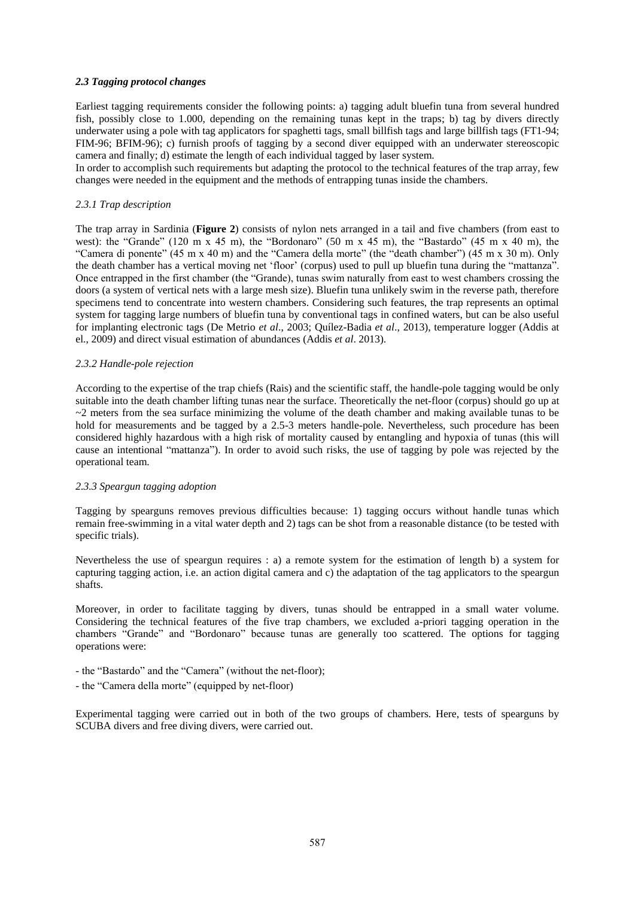# *2.3 Tagging protocol changes*

Earliest tagging requirements consider the following points: a) tagging adult bluefin tuna from several hundred fish, possibly close to 1.000, depending on the remaining tunas kept in the traps; b) tag by divers directly underwater using a pole with tag applicators for spaghetti tags, small billfish tags and large billfish tags (FT1-94; FIM-96; BFIM-96); c) furnish proofs of tagging by a second diver equipped with an underwater stereoscopic camera and finally; d) estimate the length of each individual tagged by laser system.

In order to accomplish such requirements but adapting the protocol to the technical features of the trap array, few changes were needed in the equipment and the methods of entrapping tunas inside the chambers.

# *2.3.1 Trap description*

The trap array in Sardinia (**Figure 2**) consists of nylon nets arranged in a tail and five chambers (from east to west): the "Grande" (120 m x 45 m), the "Bordonaro" (50 m x 45 m), the "Bastardo" (45 m x 40 m), the "Camera di ponente" (45 m x 40 m) and the "Camera della morte" (the "death chamber") (45 m x 30 m). Only the death chamber has a vertical moving net 'floor' (corpus) used to pull up bluefin tuna during the "mattanza". Once entrapped in the first chamber (the "Grande), tunas swim naturally from east to west chambers crossing the doors (a system of vertical nets with a large mesh size). Bluefin tuna unlikely swim in the reverse path, therefore specimens tend to concentrate into western chambers. Considering such features, the trap represents an optimal system for tagging large numbers of bluefin tuna by conventional tags in confined waters, but can be also useful for implanting electronic tags (De Metrio *et al*., 2003; Quílez-Badia *et al*., 2013), temperature logger (Addis at el., 2009) and direct visual estimation of abundances (Addis *et al*. 2013).

#### *2.3.2 Handle-pole rejection*

According to the expertise of the trap chiefs (Rais) and the scientific staff, the handle-pole tagging would be only suitable into the death chamber lifting tunas near the surface. Theoretically the net-floor (corpus) should go up at  $\sim$ 2 meters from the sea surface minimizing the volume of the death chamber and making available tunas to be hold for measurements and be tagged by a 2.5-3 meters handle-pole. Nevertheless, such procedure has been considered highly hazardous with a high risk of mortality caused by entangling and hypoxia of tunas (this will cause an intentional "mattanza"). In order to avoid such risks, the use of tagging by pole was rejected by the operational team.

#### *2.3.3 Speargun tagging adoption*

Tagging by spearguns removes previous difficulties because: 1) tagging occurs without handle tunas which remain free-swimming in a vital water depth and 2) tags can be shot from a reasonable distance (to be tested with specific trials).

Nevertheless the use of speargun requires : a) a remote system for the estimation of length b) a system for capturing tagging action, i.e. an action digital camera and c) the adaptation of the tag applicators to the speargun shafts.

Moreover, in order to facilitate tagging by divers, tunas should be entrapped in a small water volume. Considering the technical features of the five trap chambers, we excluded a-priori tagging operation in the chambers "Grande" and "Bordonaro" because tunas are generally too scattered. The options for tagging operations were:

- the "Bastardo" and the "Camera" (without the net-floor);
- the "Camera della morte" (equipped by net-floor)

Experimental tagging were carried out in both of the two groups of chambers. Here, tests of spearguns by SCUBA divers and free diving divers, were carried out.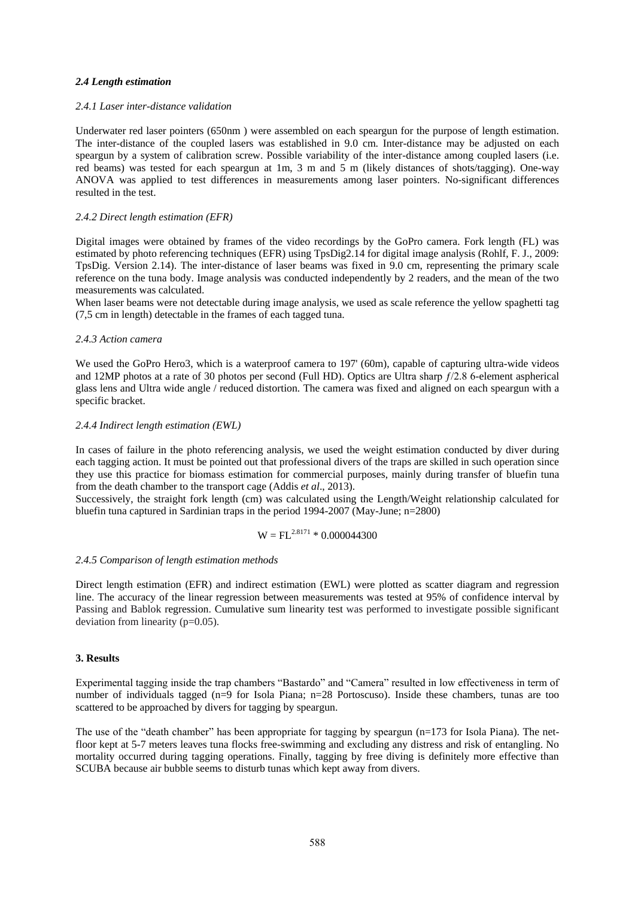#### *2.4 Length estimation*

#### *2.4.1 Laser inter-distance validation*

Underwater red laser pointers (650nm ) were assembled on each speargun for the purpose of length estimation. The inter-distance of the coupled lasers was established in 9.0 cm. Inter-distance may be adjusted on each speargun by a system of calibration screw. Possible variability of the inter-distance among coupled lasers (i.e. red beams) was tested for each speargun at 1m, 3 m and 5 m (likely distances of shots/tagging). One-way ANOVA was applied to test differences in measurements among laser pointers. No-significant differences resulted in the test.

#### *2.4.2 Direct length estimation (EFR)*

Digital images were obtained by frames of the video recordings by the GoPro camera. Fork length (FL) was estimated by photo referencing techniques (EFR) using TpsDig2.14 for digital image analysis (Rohlf, F. J., 2009: TpsDig. Version 2.14). The inter-distance of laser beams was fixed in 9.0 cm, representing the primary scale reference on the tuna body. Image analysis was conducted independently by 2 readers, and the mean of the two measurements was calculated.

When laser beams were not detectable during image analysis, we used as scale reference the yellow spaghetti tag (7,5 cm in length) detectable in the frames of each tagged tuna.

#### *2.4.3 Action camera*

We used the GoPro Hero3, which is a waterproof camera to 197' (60m), capable of capturing ultra-wide videos and 12MP photos at a rate of 30 photos per second (Full HD). Optics are Ultra sharp ƒ/2.8 6-element aspherical glass lens and Ultra wide angle / reduced distortion. The camera was fixed and aligned on each speargun with a specific bracket.

#### *2.4.4 Indirect length estimation (EWL)*

In cases of failure in the photo referencing analysis, we used the weight estimation conducted by diver during each tagging action. It must be pointed out that professional divers of the traps are skilled in such operation since they use this practice for biomass estimation for commercial purposes, mainly during transfer of bluefin tuna from the death chamber to the transport cage (Addis *et al*., 2013).

Successively, the straight fork length (cm) was calculated using the Length/Weight relationship calculated for bluefin tuna captured in Sardinian traps in the period 1994-2007 (May-June; n=2800)

# $W = FL^{2.8171} * 0.000044300$

#### *2.4.5 Comparison of length estimation methods*

Direct length estimation (EFR) and indirect estimation (EWL) were plotted as scatter diagram and regression line. The accuracy of the linear regression between measurements was tested at 95% of confidence interval by Passing and Bablok regression. Cumulative sum linearity test was performed to investigate possible significant deviation from linearity (p=0.05).

#### **3. Results**

Experimental tagging inside the trap chambers "Bastardo" and "Camera" resulted in low effectiveness in term of number of individuals tagged (n=9 for Isola Piana; n=28 Portoscuso). Inside these chambers, tunas are too scattered to be approached by divers for tagging by speargun.

The use of the "death chamber" has been appropriate for tagging by speargun (n=173 for Isola Piana). The netfloor kept at 5-7 meters leaves tuna flocks free-swimming and excluding any distress and risk of entangling. No mortality occurred during tagging operations. Finally, tagging by free diving is definitely more effective than SCUBA because air bubble seems to disturb tunas which kept away from divers.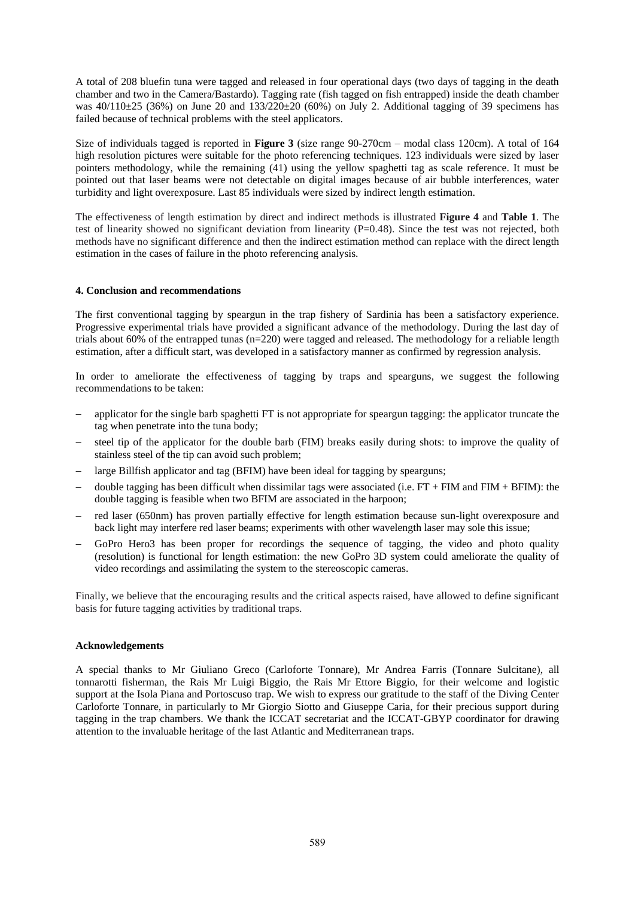A total of 208 bluefin tuna were tagged and released in four operational days (two days of tagging in the death chamber and two in the Camera/Bastardo). Tagging rate (fish tagged on fish entrapped) inside the death chamber was  $40/110\pm 25$  (36%) on June 20 and 133/220 $\pm 20$  (60%) on July 2. Additional tagging of 39 specimens has failed because of technical problems with the steel applicators.

Size of individuals tagged is reported in **Figure 3** (size range 90-270cm – modal class 120cm). A total of 164 high resolution pictures were suitable for the photo referencing techniques. 123 individuals were sized by laser pointers methodology, while the remaining (41) using the yellow spaghetti tag as scale reference. It must be pointed out that laser beams were not detectable on digital images because of air bubble interferences, water turbidity and light overexposure. Last 85 individuals were sized by indirect length estimation.

The effectiveness of length estimation by direct and indirect methods is illustrated **Figure 4** and **Table 1**. The test of linearity showed no significant deviation from linearity (P=0.48). Since the test was not rejected, both methods have no significant difference and then the indirect estimation method can replace with the direct length estimation in the cases of failure in the photo referencing analysis.

# **4. Conclusion and recommendations**

The first conventional tagging by speargun in the trap fishery of Sardinia has been a satisfactory experience. Progressive experimental trials have provided a significant advance of the methodology. During the last day of trials about 60% of the entrapped tunas (n=220) were tagged and released. The methodology for a reliable length estimation, after a difficult start, was developed in a satisfactory manner as confirmed by regression analysis.

In order to ameliorate the effectiveness of tagging by traps and spearguns, we suggest the following recommendations to be taken:

- applicator for the single barb spaghetti FT is not appropriate for speargun tagging: the applicator truncate the tag when penetrate into the tuna body;
- steel tip of the applicator for the double barb (FIM) breaks easily during shots: to improve the quality of stainless steel of the tip can avoid such problem;
- large Billfish applicator and tag (BFIM) have been ideal for tagging by spearguns;
- double tagging has been difficult when dissimilar tags were associated (i.e.  $FT + FIM$  and  $FIM + BFIM$ ): the double tagging is feasible when two BFIM are associated in the harpoon;
- red laser (650nm) has proven partially effective for length estimation because sun-light overexposure and back light may interfere red laser beams; experiments with other wavelength laser may sole this issue;
- GoPro Hero3 has been proper for recordings the sequence of tagging, the video and photo quality (resolution) is functional for length estimation: the new GoPro 3D system could ameliorate the quality of video recordings and assimilating the system to the stereoscopic cameras.

Finally, we believe that the encouraging results and the critical aspects raised, have allowed to define significant basis for future tagging activities by traditional traps.

# **Acknowledgements**

A special thanks to Mr Giuliano Greco (Carloforte Tonnare), Mr Andrea Farris (Tonnare Sulcitane), all tonnarotti fisherman, the Rais Mr Luigi Biggio, the Rais Mr Ettore Biggio, for their welcome and logistic support at the Isola Piana and Portoscuso trap. We wish to express our gratitude to the staff of the Diving Center Carloforte Tonnare, in particularly to Mr Giorgio Siotto and Giuseppe Caria, for their precious support during tagging in the trap chambers. We thank the ICCAT secretariat and the ICCAT-GBYP coordinator for drawing attention to the invaluable heritage of the last Atlantic and Mediterranean traps.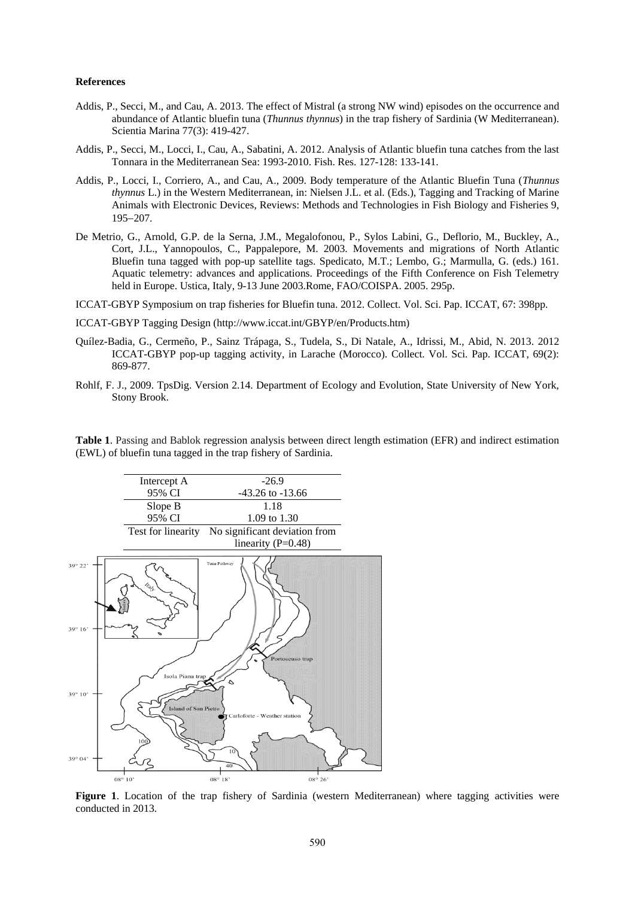#### **References**

- Addis, P., Secci, M., and Cau, A. 2013. The effect of Mistral (a strong NW wind) episodes on the occurrence and abundance of Atlantic bluefin tuna (*Thunnus thynnus*) in the trap fishery of Sardinia (W Mediterranean). Scientia Marina 77(3): 419-427.
- Addis, P., Secci, M., Locci, I., Cau, A., Sabatini, A. 2012. Analysis of Atlantic bluefin tuna catches from the last Tonnara in the Mediterranean Sea: 1993-2010. Fish. Res. 127-128: 133-141.
- Addis, P., Locci, I., Corriero, A., and Cau, A., 2009. Body temperature of the Atlantic Bluefin Tuna (*Thunnus thynnus* L.) in the Western Mediterranean, in: Nielsen J.L. et al. (Eds.), Tagging and Tracking of Marine Animals with Electronic Devices, Reviews: Methods and Technologies in Fish Biology and Fisheries 9, 195-207.
- De Metrio, G., Arnold, G.P. de la Serna, J.M., Megalofonou, P., Sylos Labini, G., Deflorio, M., Buckley, A., Cort, J.L., Yannopoulos, C., Pappalepore, M. 2003. Movements and migrations of North Atlantic Bluefin tuna tagged with pop-up satellite tags. Spedicato, M.T.; Lembo, G.; Marmulla, G. (eds.) 161. Aquatic telemetry: advances and applications. Proceedings of the Fifth Conference on Fish Telemetry held in Europe. Ustica, Italy, 9-13 June 2003.Rome, FAO/COISPA. 2005. 295p.
- ICCAT-GBYP Symposium on trap fisheries for Bluefin tuna. 2012. Collect. Vol. Sci. Pap. ICCAT, 67: 398pp.
- ICCAT-GBYP Tagging Design (http://www.iccat.int/GBYP/en/Products.htm)
- Quílez-Badia, G., Cermeño, P., Sainz Trápaga, S., Tudela, S., Di Natale, A., Idrissi, M., Abid, N. 2013. 2012 ICCAT-GBYP pop-up tagging activity, in Larache (Morocco). Collect. Vol. Sci. Pap. ICCAT, 69(2): 869-877.
- Rohlf, F. J., 2009. TpsDig. Version 2.14. Department of Ecology and Evolution, State University of New York, Stony Brook.

**Table 1**. Passing and Bablok regression analysis between direct length estimation (EFR) and indirect estimation (EWL) of bluefin tuna tagged in the trap fishery of Sardinia.



**Figure 1**. Location of the trap fishery of Sardinia (western Mediterranean) where tagging activities were conducted in 2013.